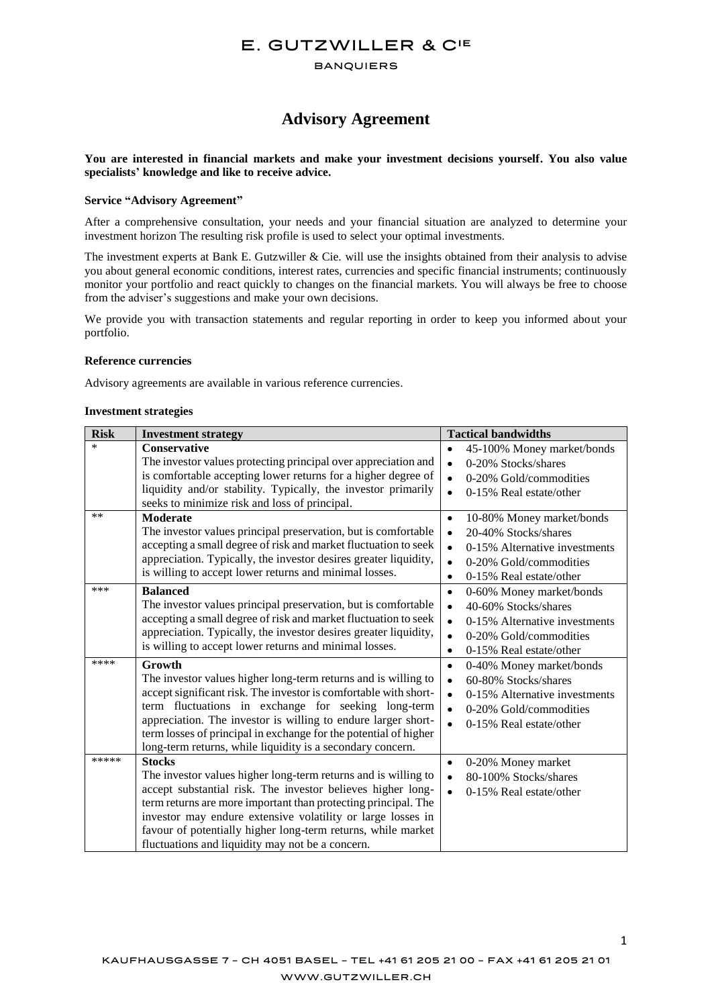# E. GUTZWILLER & CIE

**BANQUIERS** 

# **Advisory Agreement**

## **You are interested in financial markets and make your investment decisions yourself. You also value specialists' knowledge and like to receive advice.**

#### **Service "Advisory Agreement"**

After a comprehensive consultation, your needs and your financial situation are analyzed to determine your investment horizon The resulting risk profile is used to select your optimal investments.

The investment experts at Bank E. Gutzwiller & Cie. will use the insights obtained from their analysis to advise you about general economic conditions, interest rates, currencies and specific financial instruments; continuously monitor your portfolio and react quickly to changes on the financial markets. You will always be free to choose from the adviser's suggestions and make your own decisions.

We provide you with transaction statements and regular reporting in order to keep you informed about your portfolio.

#### **Reference currencies**

Advisory agreements are available in various reference currencies.

#### **Investment strategies**

| <b>Risk</b> | <b>Investment strategy</b>                                                                                                                                                                                                                                                                                                                                                                             | <b>Tactical bandwidths</b>                                                                                                                                                                               |
|-------------|--------------------------------------------------------------------------------------------------------------------------------------------------------------------------------------------------------------------------------------------------------------------------------------------------------------------------------------------------------------------------------------------------------|----------------------------------------------------------------------------------------------------------------------------------------------------------------------------------------------------------|
| $\ast$      | <b>Conservative</b><br>The investor values protecting principal over appreciation and<br>is comfortable accepting lower returns for a higher degree of<br>liquidity and/or stability. Typically, the investor primarily<br>seeks to minimize risk and loss of principal.                                                                                                                               | 45-100% Money market/bonds<br>$\bullet$<br>0-20% Stocks/shares<br>$\bullet$<br>0-20% Gold/commodities<br>$\bullet$<br>0-15% Real estate/other<br>$\bullet$                                               |
| **          | <b>Moderate</b><br>The investor values principal preservation, but is comfortable<br>accepting a small degree of risk and market fluctuation to seek<br>appreciation. Typically, the investor desires greater liquidity,<br>is willing to accept lower returns and minimal losses.                                                                                                                     | 10-80% Money market/bonds<br>$\bullet$<br>20-40% Stocks/shares<br>$\bullet$<br>0-15% Alternative investments<br>$\bullet$<br>0-20% Gold/commodities<br>$\bullet$<br>0-15% Real estate/other<br>$\bullet$ |
| ***         | <b>Balanced</b><br>The investor values principal preservation, but is comfortable<br>accepting a small degree of risk and market fluctuation to seek<br>appreciation. Typically, the investor desires greater liquidity,<br>is willing to accept lower returns and minimal losses.                                                                                                                     | $\bullet$<br>0-60% Money market/bonds<br>40-60% Stocks/shares<br>$\bullet$<br>0-15% Alternative investments<br>$\bullet$<br>0-20% Gold/commodities<br>$\bullet$<br>0-15% Real estate/other<br>$\bullet$  |
| ****        | Growth<br>The investor values higher long-term returns and is willing to<br>accept significant risk. The investor is comfortable with short-<br>term fluctuations in exchange for seeking long-term<br>appreciation. The investor is willing to endure larger short-<br>term losses of principal in exchange for the potential of higher<br>long-term returns, while liquidity is a secondary concern. | 0-40% Money market/bonds<br>$\bullet$<br>60-80% Stocks/shares<br>$\bullet$<br>0-15% Alternative investments<br>$\bullet$<br>0-20% Gold/commodities<br>$\bullet$<br>0-15% Real estate/other<br>$\bullet$  |
| *****       | <b>Stocks</b><br>The investor values higher long-term returns and is willing to<br>accept substantial risk. The investor believes higher long-<br>term returns are more important than protecting principal. The<br>investor may endure extensive volatility or large losses in<br>favour of potentially higher long-term returns, while market<br>fluctuations and liquidity may not be a concern.    | 0-20% Money market<br>$\bullet$<br>80-100% Stocks/shares<br>$\bullet$<br>0-15% Real estate/other<br>$\bullet$                                                                                            |